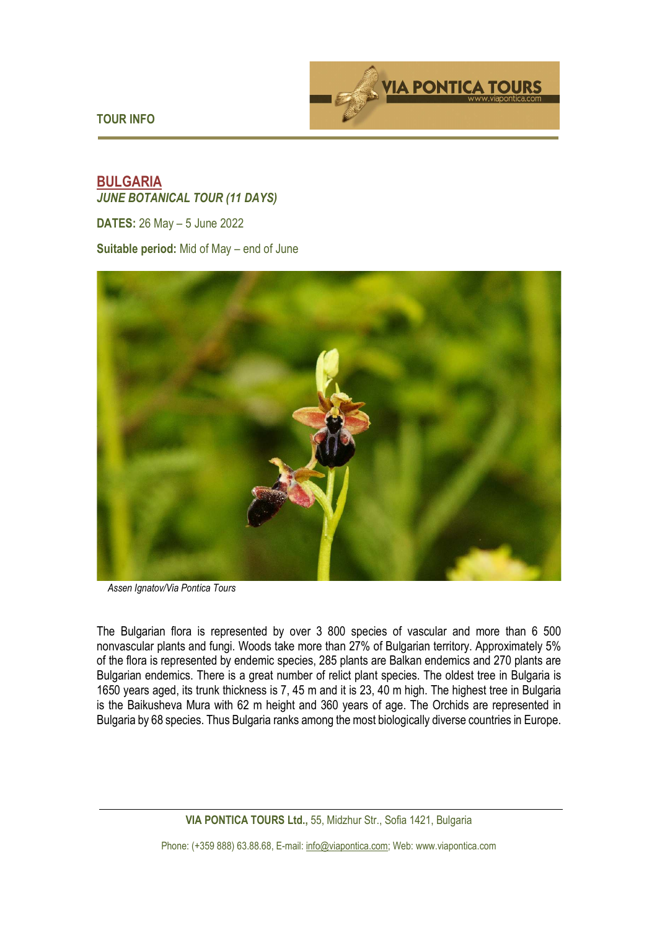**TOUR INFO** 



# **BULGARIA**  *JUNE BOTANICAL TOUR (11 DAYS)*

**DATES:** 26 May – 5 June 2022

**Suitable period:** Mid of May – end of June



*Assen Ignatov/Via Pontica Tours* 

The Bulgarian flora is represented by over 3 800 species of vascular and more than 6 500 nonvascular plants and fungi. Woods take more than 27% of Bulgarian territory. Approximately 5% of the flora is represented by endemic species, 285 plants are Balkan endemics and 270 plants are Bulgarian endemics. There is a great number of relict plant species. The oldest tree in Bulgaria is 1650 years aged, its trunk thickness is 7, 45 m and it is 23, 40 m high. The highest tree in Bulgaria is the Baikusheva Mura with 62 m height and 360 years of age. The Orchids are represented in Bulgaria by 68 species. Thus Bulgaria ranks among the most biologically diverse countries in Europe.

**VIA PONTICA TOURS Ltd.,** 55, Midzhur Str., Sofia 1421, Bulgaria

Phone: (+359 888) 63.88.68, E-mail: info@viapontica.com; Web: www.viapontica.com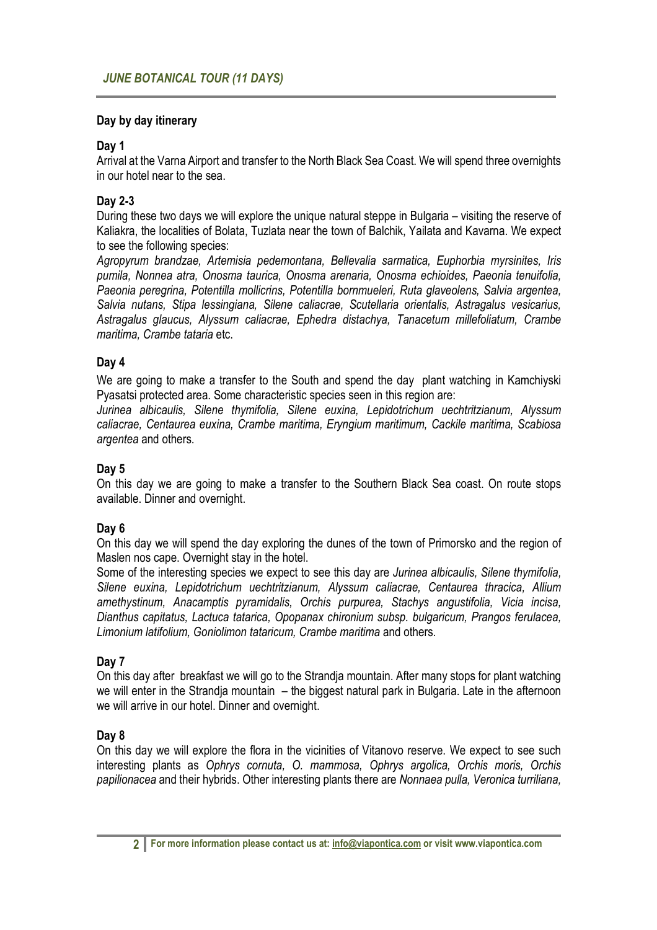#### **Day by day itinerary**

#### **Day 1**

Arrival at the Varna Airport and transfer to the North Black Sea Coast. We will spend three overnights in our hotel near to the sea.

# **Day 2-3**

During these two days we will explore the unique natural steppe in Bulgaria – visiting the reserve of Kaliakra, the localities of Bolata, Tuzlata near the town of Balchik, Yailata and Kavarna. We expect to see the following species:

*Agropyrum brandzae, Artemisia pedemontana, Bellevalia sarmatica, Euphorbia myrsinites, Iris pumila, Nonnea atra, Onosma taurica, Onosma arenaria, Onosma echioides, Paeonia tenuifolia, Paeonia peregrina, Potentilla mollicrins, Potentilla bornmueleri, Ruta glaveolens, Salvia argentea, Salvia nutans, Stipa lessingiana, Silene caliacrae, Scutellaria orientalis, Astragalus vesicarius, Astragalus glaucus, Alyssum caliacrae, Ephedra distachya, Tanacetum millefoliatum, Crambe maritima, Crambe tataria* etc.

## **Day 4**

We are going to make a transfer to the South and spend the day plant watching in Kamchiyski Pyasatsi protected area. Some characteristic species seen in this region are:

*Jurinea albicaulis, Silene thymifolia, Silene euxina, Lepidotrichum uechtritzianum, Alyssum caliacrae, Centaurea euxina, Crambe maritima, Eryngium maritimum, Cackile maritima, Scabiosa argentea* and others.

#### **Day 5**

On this day we are going to make a transfer to the Southern Black Sea coast. On route stops available. Dinner and overnight.

## **Day 6**

On this day we will spend the day exploring the dunes of the town of Primorsko and the region of Maslen nos cape. Overnight stay in the hotel.

Some of the interesting species we expect to see this day are *Jurinea albicaulis, Silene thymifolia, Silene euxina, Lepidotrichum uechtritzianum, Alyssum caliacrae, Centaurea thracica, Allium amethystinum, Anacamptis pyramidalis, Orchis purpurea, Stachys angustifolia, Vicia incisa, Dianthus capitatus, Lactuca tatarica, Opopanax chironium subsp. bulgaricum, Prangos ferulacea, Limonium latifolium, Goniolimon tataricum, Crambe maritima* and others.

## **Day 7**

On this day after breakfast we will go to the Strandja mountain. After many stops for plant watching we will enter in the Strandja mountain – the biggest natural park in Bulgaria. Late in the afternoon we will arrive in our hotel. Dinner and overnight.

## **Day 8**

On this day we will explore the flora in the vicinities of Vitanovo reserve. We expect to see such interesting plants as *Ophrys cornuta, O. mammosa, Ophrys argolica, Orchis moris, Orchis papilionacea* and their hybrids. Other interesting plants there are *Nonnaea pulla, Veronica turriliana,*